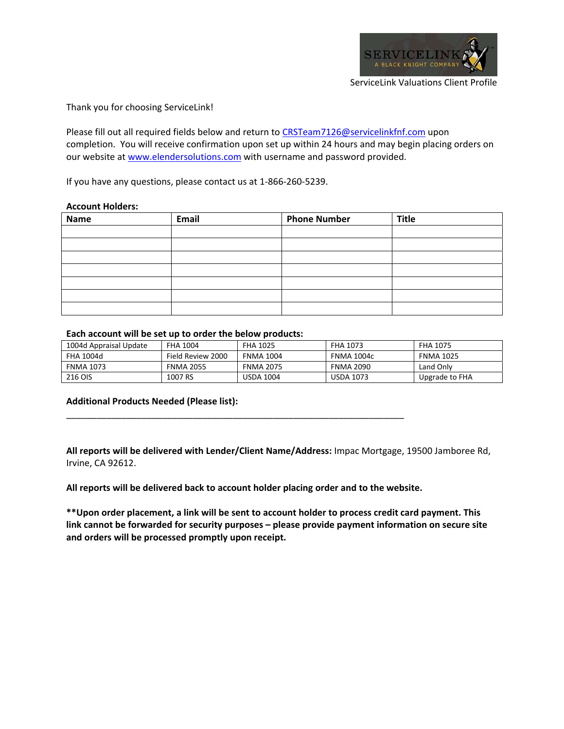

Thank you for choosing ServiceLink!

Please fill out all required fields below and return to CRSTeam7126@servicelinkfnf.com upon completion. You will receive confirmation upon set up within 24 hours and may begin placing orders on our website at www.elendersolutions.com with username and password provided.

If you have any questions, please contact us at 1‐866‐260‐5239.

## **Account Holders:**

| <b>Name</b> | Email | <b>Phone Number</b> | <b>Title</b> |
|-------------|-------|---------------------|--------------|
|             |       |                     |              |
|             |       |                     |              |
|             |       |                     |              |
|             |       |                     |              |
|             |       |                     |              |
|             |       |                     |              |
|             |       |                     |              |

## **Each account will be set up to order the below products:**

| 1004d Appraisal Update | <b>FHA 1004</b>   | <b>FHA 1025</b>  | <b>FHA 1073</b>   | <b>FHA 1075</b>  |
|------------------------|-------------------|------------------|-------------------|------------------|
| <b>FHA 1004d</b>       | Field Review 2000 | <b>FNMA 1004</b> | <b>FNMA 1004c</b> | <b>FNMA 1025</b> |
| <b>FNMA 1073</b>       | <b>FNMA 2055</b>  | <b>FNMA 2075</b> | <b>FNMA 2090</b>  | Land Only        |
| <b>216 OIS</b>         | 1007 RS           | USDA 1004        | <b>USDA 1073</b>  | Upgrade to FHA   |

## **Additional Products Needed (Please list):**

**All reports will be delivered with Lender/Client Name/Address:** Impac Mortgage, 19500 Jamboree Rd, Irvine, CA 92612.

**All reports will be delivered back to account holder placing order and to the website.**

\_\_\_\_\_\_\_\_\_\_\_\_\_\_\_\_\_\_\_\_\_\_\_\_\_\_\_\_\_\_\_\_\_\_\_\_\_\_\_\_\_\_\_\_\_\_\_\_\_\_\_\_\_\_\_\_\_\_\_\_\_\_\_\_\_\_\_

**\*\*Upon order placement, a link will be sent to account holder to process credit card payment. This link cannot be forwarded for security purposes – please provide payment information on secure site and orders will be processed promptly upon receipt.**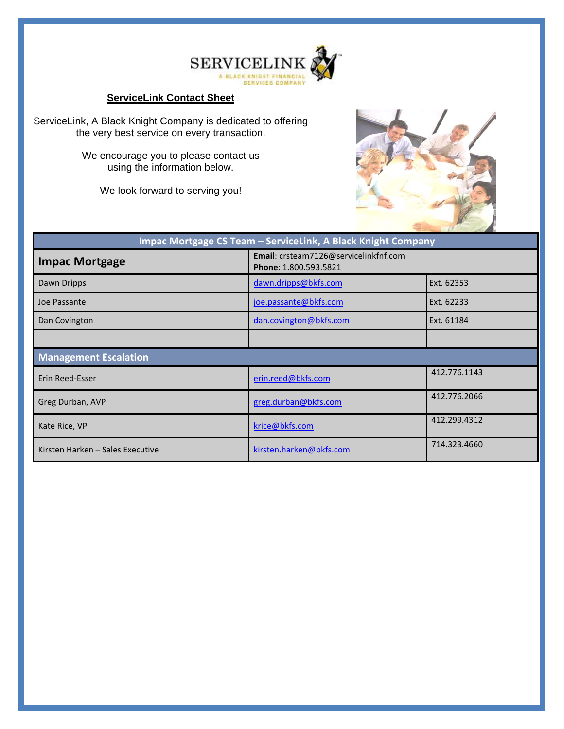

## **ServiceLink Contact Sheet**



| <b>ServiceLink Contact Sheet</b>                                                                                                                                                                                        |                                                                |              |
|-------------------------------------------------------------------------------------------------------------------------------------------------------------------------------------------------------------------------|----------------------------------------------------------------|--------------|
| ServiceLink, A Black Knight Company is dedicated to offering<br>the very best service on every transaction.<br>We encourage you to please contact us<br>using the information below.<br>We look forward to serving you! |                                                                |              |
|                                                                                                                                                                                                                         | Impac Mortgage CS Team - ServiceLink, A Black Knight Company   |              |
| <b>Impac Mortgage</b>                                                                                                                                                                                                   | Email: crsteam7126@servicelinkfnf.com<br>Phone: 1.800.593.5821 |              |
| Dawn Dripps                                                                                                                                                                                                             | dawn.dripps@bkfs.com                                           | Ext. 62353   |
| Joe Passante                                                                                                                                                                                                            | joe.passante@bkfs.com                                          | Ext. 62233   |
| Dan Covington                                                                                                                                                                                                           | dan.covington@bkfs.com                                         | Ext. 61184   |
|                                                                                                                                                                                                                         |                                                                |              |
| <b>Management Escalation</b>                                                                                                                                                                                            |                                                                |              |
| Erin Reed-Esser                                                                                                                                                                                                         | erin.reed@bkfs.com                                             | 412.776.1143 |
| Greg Durban, AVP                                                                                                                                                                                                        | greg.durban@bkfs.com                                           | 412.776.2066 |
| Kate Rice, VP                                                                                                                                                                                                           | krice@bkfs.com                                                 | 412.299.4312 |
| Kirsten Harken - Sales Executive                                                                                                                                                                                        | kirsten.harken@bkfs.com                                        | 714.323.4660 |